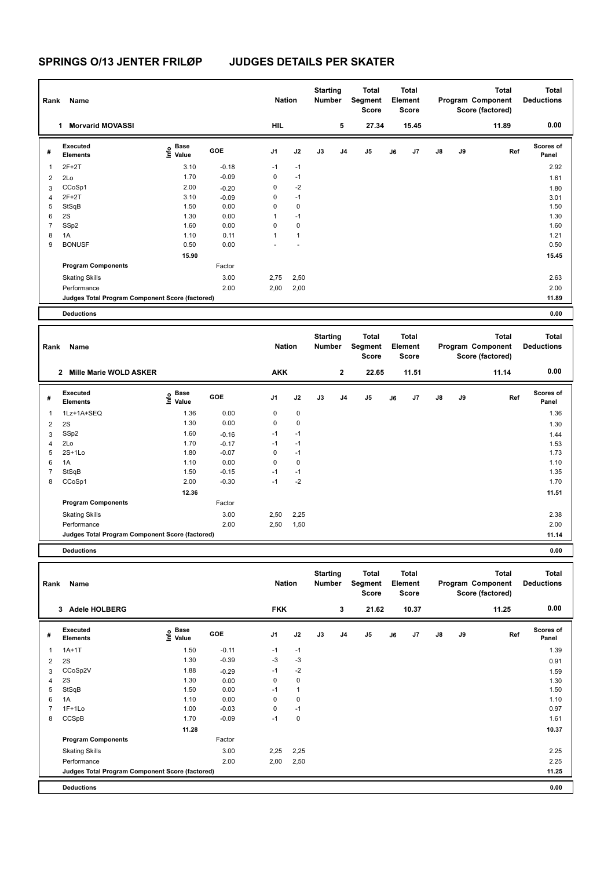## **SPRINGS O/13 JENTER FRILØP JUDGES DETAILS PER SKATER**

| Rank                    | Name                                            |                                           | <b>Nation</b> |               | <b>Starting</b><br>Number |                           | <b>Total</b><br>Segment<br><b>Score</b> | <b>Total</b><br>Element<br>Score |    |                           |    | <b>Total</b><br>Program Component<br>Score (factored) | <b>Total</b><br><b>Deductions</b>              |                                   |
|-------------------------|-------------------------------------------------|-------------------------------------------|---------------|---------------|---------------------------|---------------------------|-----------------------------------------|----------------------------------|----|---------------------------|----|-------------------------------------------------------|------------------------------------------------|-----------------------------------|
|                         | 1 Morvarid MOVASSI                              |                                           |               | HIL           |                           |                           | 5                                       | 27.34                            |    | 15.45                     |    |                                                       | 11.89                                          | 0.00                              |
| #                       | <b>Executed</b><br><b>Elements</b>              | $\frac{6}{5}$ Base<br>$\frac{5}{5}$ Value | GOE           | J1            | J2                        | J3                        | J4                                      | J <sub>5</sub>                   | J6 | J7                        | J8 | J9                                                    | Ref                                            | Scores of<br>Panel                |
| 1                       | $2F+2T$                                         | 3.10                                      | $-0.18$       | $-1$          | $-1$                      |                           |                                         |                                  |    |                           |    |                                                       |                                                | 2.92                              |
| 2                       | 2Lo                                             | 1.70                                      | $-0.09$       | 0             | $-1$                      |                           |                                         |                                  |    |                           |    |                                                       |                                                | 1.61                              |
| 3                       | CCoSp1                                          | 2.00                                      | $-0.20$       | 0             | $-2$                      |                           |                                         |                                  |    |                           |    |                                                       |                                                | 1.80                              |
| 4                       | $2F+2T$                                         | 3.10                                      | $-0.09$       | 0             | $-1$                      |                           |                                         |                                  |    |                           |    |                                                       |                                                | 3.01                              |
| 5                       | StSqB                                           | 1.50                                      | 0.00          | 0             | $\pmb{0}$                 |                           |                                         |                                  |    |                           |    |                                                       |                                                | 1.50                              |
| 6                       | 2S                                              | 1.30                                      | 0.00          | $\mathbf{1}$  | $-1$                      |                           |                                         |                                  |    |                           |    |                                                       |                                                | 1.30                              |
| $\overline{7}$          | SSp2                                            | 1.60                                      | 0.00          | $\mathbf 0$   | $\mathbf 0$               |                           |                                         |                                  |    |                           |    |                                                       |                                                | 1.60                              |
| 8                       | 1A                                              | 1.10                                      | 0.11          | $\mathbf{1}$  | $\mathbf{1}$              |                           |                                         |                                  |    |                           |    |                                                       |                                                | 1.21                              |
| 9                       | <b>BONUSF</b>                                   | 0.50                                      | 0.00          |               |                           |                           |                                         |                                  |    |                           |    |                                                       |                                                | 0.50                              |
|                         |                                                 | 15.90                                     |               |               |                           |                           |                                         |                                  |    |                           |    |                                                       |                                                | 15.45                             |
|                         | <b>Program Components</b>                       |                                           | Factor        |               |                           |                           |                                         |                                  |    |                           |    |                                                       |                                                |                                   |
|                         | <b>Skating Skills</b>                           |                                           | 3.00          | 2,75          | 2,50                      |                           |                                         |                                  |    |                           |    |                                                       |                                                | 2.63                              |
|                         | Performance                                     |                                           | 2.00          | 2,00          | 2,00                      |                           |                                         |                                  |    |                           |    |                                                       |                                                | 2.00                              |
|                         | Judges Total Program Component Score (factored) |                                           |               |               |                           |                           |                                         |                                  |    |                           |    |                                                       |                                                | 11.89                             |
|                         | <b>Deductions</b>                               |                                           |               |               |                           |                           |                                         |                                  |    |                           |    |                                                       |                                                | 0.00                              |
|                         |                                                 |                                           |               |               |                           | <b>Starting</b>           |                                         | Total                            |    | Total                     |    |                                                       | <b>Total</b>                                   | <b>Total</b>                      |
| Rank                    | Name                                            |                                           |               | <b>Nation</b> |                           | Number                    |                                         | Segment<br>Score                 |    | Element<br>Score          |    |                                                       | Program Component<br>Score (factored)          | <b>Deductions</b>                 |
|                         | 2 Mille Marie WOLD ASKER                        |                                           |               | <b>AKK</b>    |                           |                           | $\mathbf 2$                             | 22.65                            |    | 11.51                     |    |                                                       | 11.14                                          | 0.00                              |
|                         |                                                 |                                           |               |               |                           |                           |                                         |                                  |    |                           |    |                                                       |                                                |                                   |
| #                       | Executed<br><b>Elements</b>                     | $\frac{6}{5}$ Base<br>$\frac{5}{5}$ Value | GOE           | J1            | J2                        | J3                        | J4                                      | J5                               | J6 | J7                        | J8 | J9                                                    | Ref                                            | Scores of<br>Panel                |
|                         |                                                 |                                           |               |               |                           |                           |                                         |                                  |    |                           |    |                                                       |                                                |                                   |
| 1                       | 1Lz+1A+SEQ                                      | 1.36                                      | 0.00          | 0             | $\pmb{0}$                 |                           |                                         |                                  |    |                           |    |                                                       |                                                | 1.36                              |
| $\boldsymbol{2}$        | 2S                                              | 1.30                                      | 0.00          | 0             | $\pmb{0}$                 |                           |                                         |                                  |    |                           |    |                                                       |                                                | 1.30                              |
| 3                       | SSp2                                            | 1.60                                      | $-0.16$       | $-1$          | $-1$                      |                           |                                         |                                  |    |                           |    |                                                       |                                                | 1.44                              |
| 4                       | 2Lo                                             | 1.70                                      | $-0.17$       | $-1$          | $-1$                      |                           |                                         |                                  |    |                           |    |                                                       |                                                | 1.53                              |
| 5                       | $2S+1Lo$                                        | 1.80                                      | $-0.07$       | 0             | $-1$                      |                           |                                         |                                  |    |                           |    |                                                       |                                                | 1.73                              |
| 6                       | 1A                                              | 1.10                                      | 0.00          | $\mathbf 0$   | $\pmb{0}$                 |                           |                                         |                                  |    |                           |    |                                                       |                                                | 1.10                              |
| $\overline{\mathbf{7}}$ | StSqB                                           | 1.50                                      | $-0.15$       | $-1$          | $-1$                      |                           |                                         |                                  |    |                           |    |                                                       |                                                | 1.35                              |
| 8                       | CCoSp1                                          | 2.00                                      | $-0.30$       | $-1$          | $-2$                      |                           |                                         |                                  |    |                           |    |                                                       |                                                | 1.70                              |
|                         |                                                 | 12.36                                     |               |               |                           |                           |                                         |                                  |    |                           |    |                                                       |                                                | 11.51                             |
|                         | <b>Program Components</b>                       |                                           | Factor        |               |                           |                           |                                         |                                  |    |                           |    |                                                       |                                                |                                   |
|                         | <b>Skating Skills</b>                           |                                           | 3.00          | 2,50          | 2,25                      |                           |                                         |                                  |    |                           |    |                                                       |                                                | 2.38                              |
|                         | Performance                                     |                                           | 2.00          | 2,50          | 1,50                      |                           |                                         |                                  |    |                           |    |                                                       |                                                | 2.00                              |
|                         | Judges Total Program Component Score (factored) |                                           |               |               |                           |                           |                                         |                                  |    |                           |    |                                                       |                                                | 11.14                             |
|                         | <b>Deductions</b>                               |                                           |               |               |                           |                           |                                         |                                  |    |                           |    |                                                       |                                                | 0.00                              |
|                         |                                                 |                                           |               |               |                           |                           |                                         |                                  |    |                           |    |                                                       |                                                |                                   |
| Rank                    | Name                                            |                                           |               | <b>Nation</b> |                           | <b>Starting</b><br>Number |                                         | <b>Total</b><br>Segment<br>Score |    | Total<br>Element<br>Score |    |                                                       | Total<br>Program Component<br>Score (factored) | <b>Total</b><br><b>Deductions</b> |
|                         | 3 Adele HOLBERG                                 |                                           |               | <b>FKK</b>    |                           |                           | 3                                       | 21.62                            |    | 10.37                     |    |                                                       | 11.25                                          | 0.00                              |
|                         | Executed                                        | Base                                      |               |               |                           |                           |                                         |                                  |    |                           |    |                                                       |                                                | Scores of                         |
| #                       | <b>Elements</b>                                 | e Base<br>⊆ Value                         | GOE           | J1            | J2                        | J3                        | J <sub>4</sub>                          | $\mathsf{J}5$                    | J6 | J7                        | J8 | J9                                                    | Ref                                            | Panel                             |
|                         |                                                 | 1.50                                      | $-0.11$       | $-1$          |                           |                           |                                         |                                  |    |                           |    |                                                       |                                                |                                   |
| 1                       | $1A+1T$                                         | 1.30                                      | $-0.39$       | -3            | $-1$<br>$-3$              |                           |                                         |                                  |    |                           |    |                                                       |                                                | 1.39                              |
| $\overline{\mathbf{c}}$ | 2S<br>CCoSp2V                                   | 1.88                                      |               | $-1$          | $-2$                      |                           |                                         |                                  |    |                           |    |                                                       |                                                | 0.91                              |
| 3                       | 2S                                              | 1.30                                      | $-0.29$       | 0             | $\pmb{0}$                 |                           |                                         |                                  |    |                           |    |                                                       |                                                | 1.59                              |
| 4<br>5                  | StSqB                                           | 1.50                                      | 0.00<br>0.00  | $-1$          | $\mathbf{1}$              |                           |                                         |                                  |    |                           |    |                                                       |                                                | 1.30<br>1.50                      |
| 6                       | 1A                                              | 1.10                                      | 0.00          | 0             | $\pmb{0}$                 |                           |                                         |                                  |    |                           |    |                                                       |                                                | 1.10                              |
| $\overline{7}$          | $1F+1Lo$                                        | 1.00                                      | $-0.03$       | $\mathbf 0$   | $-1$                      |                           |                                         |                                  |    |                           |    |                                                       |                                                | 0.97                              |
| 8                       | CCSpB                                           | 1.70                                      | $-0.09$       | $-1$          | $\pmb{0}$                 |                           |                                         |                                  |    |                           |    |                                                       |                                                | 1.61                              |
|                         |                                                 | 11.28                                     |               |               |                           |                           |                                         |                                  |    |                           |    |                                                       |                                                | 10.37                             |
|                         | <b>Program Components</b>                       |                                           | Factor        |               |                           |                           |                                         |                                  |    |                           |    |                                                       |                                                |                                   |
|                         | <b>Skating Skills</b>                           |                                           | 3.00          | 2,25          | 2,25                      |                           |                                         |                                  |    |                           |    |                                                       |                                                | 2.25                              |
|                         | Performance                                     |                                           | 2.00          | 2,00          | 2,50                      |                           |                                         |                                  |    |                           |    |                                                       |                                                | 2.25                              |
|                         | Judges Total Program Component Score (factored) |                                           |               |               |                           |                           |                                         |                                  |    |                           |    |                                                       |                                                | 11.25                             |
|                         |                                                 |                                           |               |               |                           |                           |                                         |                                  |    |                           |    |                                                       |                                                |                                   |
|                         | <b>Deductions</b>                               |                                           |               |               |                           |                           |                                         |                                  |    |                           |    |                                                       |                                                | 0.00                              |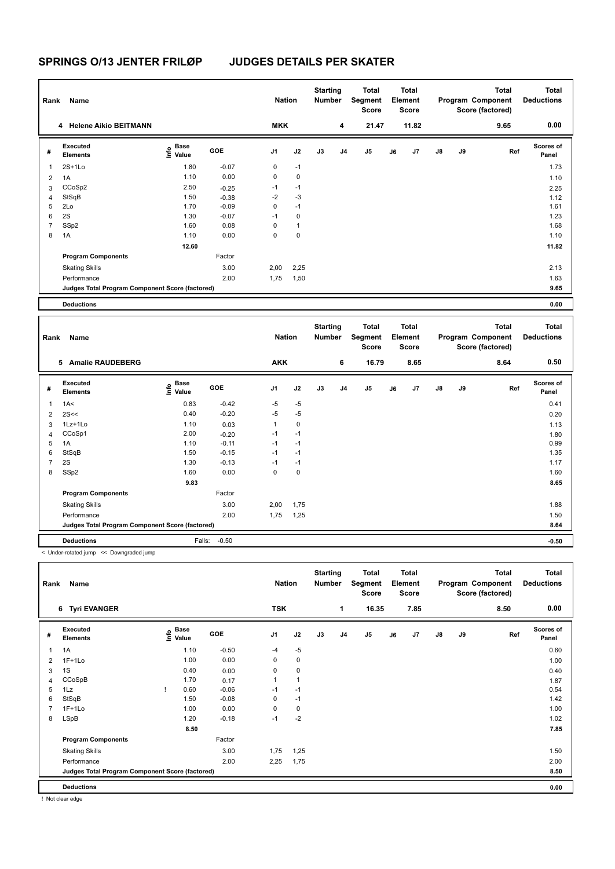## **SPRINGS O/13 JENTER FRILØP JUDGES DETAILS PER SKATER**

| Rank           | Name                                            |                                  |         | <b>Nation</b>  |              | <b>Starting</b><br>Number |                | Total<br>Segment<br><b>Score</b> |    | <b>Total</b><br>Element<br><b>Score</b> |    |    | <b>Total</b><br>Program Component<br>Score (factored) | <b>Total</b><br><b>Deductions</b> |  |
|----------------|-------------------------------------------------|----------------------------------|---------|----------------|--------------|---------------------------|----------------|----------------------------------|----|-----------------------------------------|----|----|-------------------------------------------------------|-----------------------------------|--|
|                | 4 Helene Aikio BEITMANN                         |                                  |         | <b>MKK</b>     |              |                           | 4              | 21.47                            |    | 11.82                                   |    |    | 9.65                                                  | 0.00                              |  |
| #              | Executed<br><b>Elements</b>                     | <b>Base</b><br>o Base<br>⊆ Value | GOE     | J <sub>1</sub> | J2           | J3                        | J <sub>4</sub> | J5                               | J6 | J7                                      | J8 | J9 | Ref                                                   | <b>Scores of</b><br>Panel         |  |
| 1              | $2S+1Lo$                                        | 1.80                             | $-0.07$ | 0              | $-1$         |                           |                |                                  |    |                                         |    |    |                                                       | 1.73                              |  |
| 2              | 1A                                              | 1.10                             | 0.00    | 0              | $\mathbf 0$  |                           |                |                                  |    |                                         |    |    |                                                       | 1.10                              |  |
| 3              | CCoSp2                                          | 2.50                             | $-0.25$ | $-1$           | $-1$         |                           |                |                                  |    |                                         |    |    |                                                       | 2.25                              |  |
| 4              | StSqB                                           | 1.50                             | $-0.38$ | $-2$           | $-3$         |                           |                |                                  |    |                                         |    |    |                                                       | 1.12                              |  |
| 5              | 2Lo                                             | 1.70                             | $-0.09$ | 0              | $-1$         |                           |                |                                  |    |                                         |    |    |                                                       | 1.61                              |  |
| 6              | 2S                                              | 1.30                             | $-0.07$ | $-1$           | 0            |                           |                |                                  |    |                                         |    |    |                                                       | 1.23                              |  |
| $\overline{7}$ | SSp2                                            | 1.60                             | 0.08    | 0              | $\mathbf{1}$ |                           |                |                                  |    |                                         |    |    |                                                       | 1.68                              |  |
| 8              | 1A                                              | 1.10                             | 0.00    | 0              | $\pmb{0}$    |                           |                |                                  |    |                                         |    |    |                                                       | 1.10                              |  |
|                |                                                 | 12.60                            |         |                |              |                           |                |                                  |    |                                         |    |    |                                                       | 11.82                             |  |
|                | <b>Program Components</b>                       |                                  | Factor  |                |              |                           |                |                                  |    |                                         |    |    |                                                       |                                   |  |
|                | <b>Skating Skills</b>                           |                                  | 3.00    | 2,00           | 2,25         |                           |                |                                  |    |                                         |    |    |                                                       | 2.13                              |  |
|                | Performance                                     |                                  | 2.00    | 1,75           | 1,50         |                           |                |                                  |    |                                         |    |    |                                                       | 1.63                              |  |
|                | Judges Total Program Component Score (factored) |                                  |         |                |              |                           |                |                                  |    |                                         |    |    |                                                       | 9.65                              |  |
|                | <b>Deductions</b>                               |                                  |         |                |              |                           |                |                                  |    |                                         |    |    |                                                       | 0.00                              |  |

| Rank           | Name                                            |                                  |         | <b>Nation</b>  |             | <b>Starting</b><br><b>Number</b> |                | <b>Total</b><br>Segment<br><b>Score</b> |    | <b>Total</b><br>Element<br>Score |               |    | <b>Total</b><br>Program Component<br>Score (factored) | <b>Total</b><br><b>Deductions</b> |
|----------------|-------------------------------------------------|----------------------------------|---------|----------------|-------------|----------------------------------|----------------|-----------------------------------------|----|----------------------------------|---------------|----|-------------------------------------------------------|-----------------------------------|
|                | <b>Amalie RAUDEBERG</b><br>5                    |                                  |         | <b>AKK</b>     |             |                                  | 6              | 16.79                                   |    | 8.65                             |               |    | 8.64                                                  | 0.50                              |
| #              | Executed<br><b>Elements</b>                     | <b>Base</b><br>e Base<br>⊆ Value | GOE     | J <sub>1</sub> | J2          | J3                               | J <sub>4</sub> | J <sub>5</sub>                          | J6 | J7                               | $\mathsf{J}8$ | J9 | Ref                                                   | <b>Scores of</b><br>Panel         |
| 1              | 1A<                                             | 0.83                             | $-0.42$ | $-5$           | $-5$        |                                  |                |                                         |    |                                  |               |    |                                                       | 0.41                              |
| 2              | 2S<<                                            | 0.40                             | $-0.20$ | $-5$           | $-5$        |                                  |                |                                         |    |                                  |               |    |                                                       | 0.20                              |
| 3              | 1Lz+1Lo                                         | 1.10                             | 0.03    | 1              | $\mathbf 0$ |                                  |                |                                         |    |                                  |               |    |                                                       | 1.13                              |
| 4              | CCoSp1                                          | 2.00                             | $-0.20$ | $-1$           | $-1$        |                                  |                |                                         |    |                                  |               |    |                                                       | 1.80                              |
| 5              | 1A                                              | 1.10                             | $-0.11$ | $-1$           | $-1$        |                                  |                |                                         |    |                                  |               |    |                                                       | 0.99                              |
| 6              | StSqB                                           | 1.50                             | $-0.15$ | $-1$           | $-1$        |                                  |                |                                         |    |                                  |               |    |                                                       | 1.35                              |
| $\overline{7}$ | 2S                                              | 1.30                             | $-0.13$ | $-1$           | $-1$        |                                  |                |                                         |    |                                  |               |    |                                                       | 1.17                              |
| 8              | SSp2                                            | 1.60                             | 0.00    | 0              | $\mathbf 0$ |                                  |                |                                         |    |                                  |               |    |                                                       | 1.60                              |
|                |                                                 | 9.83                             |         |                |             |                                  |                |                                         |    |                                  |               |    |                                                       | 8.65                              |
|                | <b>Program Components</b>                       |                                  | Factor  |                |             |                                  |                |                                         |    |                                  |               |    |                                                       |                                   |
|                | <b>Skating Skills</b>                           |                                  | 3.00    | 2,00           | 1,75        |                                  |                |                                         |    |                                  |               |    |                                                       | 1.88                              |
|                | Performance                                     |                                  | 2.00    | 1,75           | 1,25        |                                  |                |                                         |    |                                  |               |    |                                                       | 1.50                              |
|                | Judges Total Program Component Score (factored) |                                  |         |                |             |                                  |                |                                         |    |                                  |               |    |                                                       | 8.64                              |
|                | <b>Deductions</b>                               | Falls:                           | $-0.50$ |                |             |                                  |                |                                         |    |                                  |               |    |                                                       | $-0.50$                           |

< Under-rotated jump << Downgraded jump

| Rank | Name                                            |                           |            | <b>Nation</b>  |              | <b>Starting</b><br><b>Number</b> |                | <b>Total</b><br>Segment<br><b>Score</b> |    | <b>Total</b><br>Element<br>Score |               |    | <b>Total</b><br>Program Component<br>Score (factored) | <b>Total</b><br><b>Deductions</b> |
|------|-------------------------------------------------|---------------------------|------------|----------------|--------------|----------------------------------|----------------|-----------------------------------------|----|----------------------------------|---------------|----|-------------------------------------------------------|-----------------------------------|
|      | 6 Tyri EVANGER                                  |                           |            | <b>TSK</b>     |              |                                  | 1              | 16.35                                   |    | 7.85                             |               |    | 8.50                                                  | 0.00                              |
| #    | Executed<br><b>Elements</b>                     | Base<br>o Base<br>E Value | <b>GOE</b> | J <sub>1</sub> | J2           | J3                               | J <sub>4</sub> | J <sub>5</sub>                          | J6 | J7                               | $\mathsf{J}8$ | J9 | Ref                                                   | <b>Scores of</b><br>Panel         |
| 1    | 1A                                              | 1.10                      | $-0.50$    | $-4$           | $-5$         |                                  |                |                                         |    |                                  |               |    |                                                       | 0.60                              |
| 2    | $1F+1Lo$                                        | 1.00                      | 0.00       | 0              | $\mathbf 0$  |                                  |                |                                         |    |                                  |               |    |                                                       | 1.00                              |
| 3    | 1S                                              | 0.40                      | 0.00       | 0              | $\mathbf 0$  |                                  |                |                                         |    |                                  |               |    |                                                       | 0.40                              |
| 4    | CCoSpB                                          | 1.70                      | 0.17       | 1              | $\mathbf{1}$ |                                  |                |                                         |    |                                  |               |    |                                                       | 1.87                              |
| 5    | 1Lz                                             | 0.60                      | $-0.06$    | $-1$           | $-1$         |                                  |                |                                         |    |                                  |               |    |                                                       | 0.54                              |
| 6    | StSqB                                           | 1.50                      | $-0.08$    | 0              | $-1$         |                                  |                |                                         |    |                                  |               |    |                                                       | 1.42                              |
| 7    | $1F+1Lo$                                        | 1.00                      | 0.00       | 0              | $\mathbf 0$  |                                  |                |                                         |    |                                  |               |    |                                                       | 1.00                              |
| 8    | LSpB                                            | 1.20                      | $-0.18$    | $-1$           | $-2$         |                                  |                |                                         |    |                                  |               |    |                                                       | 1.02                              |
|      |                                                 | 8.50                      |            |                |              |                                  |                |                                         |    |                                  |               |    |                                                       | 7.85                              |
|      | <b>Program Components</b>                       |                           | Factor     |                |              |                                  |                |                                         |    |                                  |               |    |                                                       |                                   |
|      | <b>Skating Skills</b>                           |                           | 3.00       | 1,75           | 1,25         |                                  |                |                                         |    |                                  |               |    |                                                       | 1.50                              |
|      | Performance                                     |                           | 2.00       | 2,25           | 1,75         |                                  |                |                                         |    |                                  |               |    |                                                       | 2.00                              |
|      | Judges Total Program Component Score (factored) |                           |            |                |              |                                  |                |                                         |    |                                  |               |    |                                                       | 8.50                              |
|      | <b>Deductions</b>                               |                           |            |                |              |                                  |                |                                         |    |                                  |               |    |                                                       | 0.00                              |

! Not clear edge